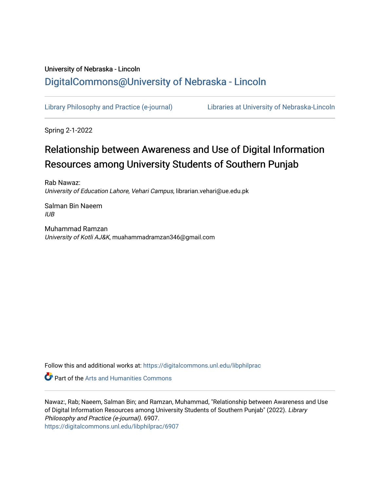## University of Nebraska - Lincoln [DigitalCommons@University of Nebraska - Lincoln](https://digitalcommons.unl.edu/)

[Library Philosophy and Practice \(e-journal\)](https://digitalcommons.unl.edu/libphilprac) [Libraries at University of Nebraska-Lincoln](https://digitalcommons.unl.edu/libraries) 

Spring 2-1-2022

# Relationship between Awareness and Use of Digital Information Resources among University Students of Southern Punjab

Rab Nawaz: University of Education Lahore, Vehari Campus, librarian.vehari@ue.edu.pk

Salman Bin Naeem IUB

Muhammad Ramzan University of Kotli AJ&K, muahammadramzan346@gmail.com

Follow this and additional works at: [https://digitalcommons.unl.edu/libphilprac](https://digitalcommons.unl.edu/libphilprac?utm_source=digitalcommons.unl.edu%2Flibphilprac%2F6907&utm_medium=PDF&utm_campaign=PDFCoverPages) 

**Part of the Arts and Humanities Commons** 

Nawaz:, Rab; Naeem, Salman Bin; and Ramzan, Muhammad, "Relationship between Awareness and Use of Digital Information Resources among University Students of Southern Punjab" (2022). Library Philosophy and Practice (e-journal). 6907. [https://digitalcommons.unl.edu/libphilprac/6907](https://digitalcommons.unl.edu/libphilprac/6907?utm_source=digitalcommons.unl.edu%2Flibphilprac%2F6907&utm_medium=PDF&utm_campaign=PDFCoverPages)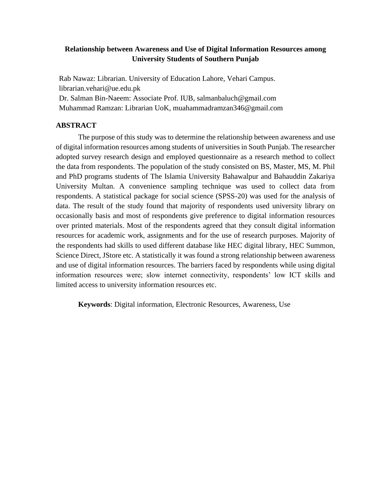## **Relationship between Awareness and Use of Digital Information Resources among University Students of Southern Punjab**

Rab Nawaz: Librarian. University of Education Lahore, Vehari Campus. librarian.vehari@ue.edu.pk Dr. Salman Bin-Naeem: Associate Prof. IUB, salmanbaluch@gmail.com

Muhammad Ramzan: Librarian UoK, muahammadramzan346@gmail.com

## **ABSTRACT**

The purpose of this study was to determine the relationship between awareness and use of digital information resources among students of universities in South Punjab. The researcher adopted survey research design and employed questionnaire as a research method to collect the data from respondents. The population of the study consisted on BS, Master, MS, M. Phil and PhD programs students of The Islamia University Bahawalpur and Bahauddin Zakariya University Multan. A convenience sampling technique was used to collect data from respondents. A statistical package for social science (SPSS-20) was used for the analysis of data. The result of the study found that majority of respondents used university library on occasionally basis and most of respondents give preference to digital information resources over printed materials. Most of the respondents agreed that they consult digital information resources for academic work, assignments and for the use of research purposes. Majority of the respondents had skills to used different database like HEC digital library, HEC Summon, Science Direct, JStore etc. A statistically it was found a strong relationship between awareness and use of digital information resources. The barriers faced by respondents while using digital information resources were; slow internet connectivity, respondents' low ICT skills and limited access to university information resources etc.

**Keywords**: Digital information, Electronic Resources, Awareness, Use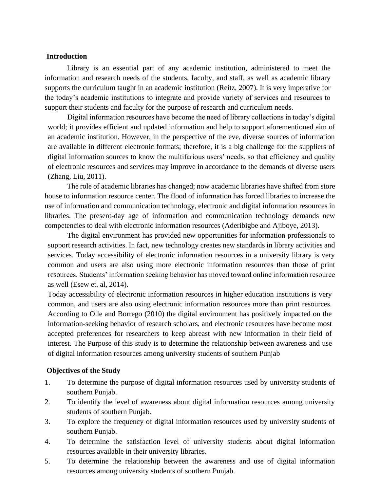#### **Introduction**

Library is an essential part of any academic institution, administered to meet the information and research needs of the students, faculty, and staff, as well as academic library supports the curriculum taught in an academic institution (Reitz, 2007). It is very imperative for the today's academic institutions to integrate and provide variety of services and resources to support their students and faculty for the purpose of research and curriculum needs.

Digital information resources have become the need of library collections in today's digital world; it provides efficient and updated information and help to support aforementioned aim of an academic institution. However, in the perspective of the eve, diverse sources of information are available in different electronic formats; therefore, it is a big challenge for the suppliers of digital information sources to know the multifarious users' needs, so that efficiency and quality of electronic resources and services may improve in accordance to the demands of diverse users (Zhang, Liu, 2011).

The role of academic libraries has changed; now academic libraries have shifted from store house to information resource center. The flood of information has forced libraries to increase the use of information and communication technology, electronic and digital information resources in libraries. The present-day age of information and communication technology demands new competencies to deal with electronic information resources (Aderibigbe and Ajiboye, 2013).

The digital environment has provided new opportunities for information professionals to support research activities. In fact, new technology creates new standards in library activities and services. Today accessibility of electronic information resources in a university library is very common and users are also using more electronic information resources than those of print resources. Students' information seeking behavior has moved toward online information resource as well (Esew et. al, 2014).

Today accessibility of electronic information resources in higher education institutions is very common, and users are also using electronic information resources more than print resources. According to Olle and Borrego (2010) the digital environment has positively impacted on the information-seeking behavior of research scholars, and electronic resources have become most accepted preferences for researchers to keep abreast with new information in their field of interest. The Purpose of this study is to determine the relationship between awareness and use of digital information resources among university students of southern Punjab

#### **Objectives of the Study**

- 1. To determine the purpose of digital information resources used by university students of southern Punjab.
- 2. To identify the level of awareness about digital information resources among university students of southern Punjab.
- 3. To explore the frequency of digital information resources used by university students of southern Punjab.
- 4. To determine the satisfaction level of university students about digital information resources available in their university libraries.
- 5. To determine the relationship between the awareness and use of digital information resources among university students of southern Punjab.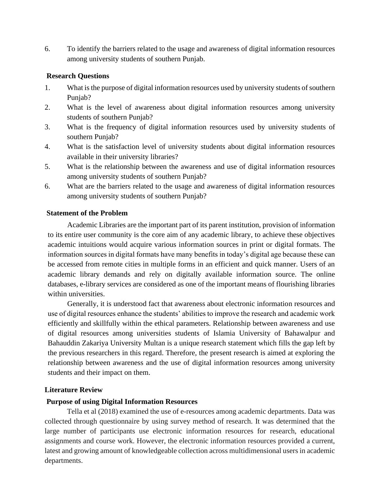6. To identify the barriers related to the usage and awareness of digital information resources among university students of southern Punjab.

## **Research Questions**

- 1. What is the purpose of digital information resources used by university students of southern Punjab?
- 2. What is the level of awareness about digital information resources among university students of southern Punjab?
- 3. What is the frequency of digital information resources used by university students of southern Punjab?
- 4. What is the satisfaction level of university students about digital information resources available in their university libraries?
- 5. What is the relationship between the awareness and use of digital information resources among university students of southern Punjab?
- 6. What are the barriers related to the usage and awareness of digital information resources among university students of southern Punjab?

## **Statement of the Problem**

Academic Libraries are the important part of its parent institution, provision of information to its entire user community is the core aim of any academic library, to achieve these objectives academic intuitions would acquire various information sources in print or digital formats. The information sources in digital formats have many benefits in today's digital age because these can be accessed from remote cities in multiple forms in an efficient and quick manner. Users of an academic library demands and rely on digitally available information source. The online databases, e-library services are considered as one of the important means of flourishing libraries within universities.

Generally, it is understood fact that awareness about electronic information resources and use of digital resources enhance the students' abilities to improve the research and academic work efficiently and skillfully within the ethical parameters. Relationship between awareness and use of digital resources among universities students of Islamia University of Bahawalpur and Bahauddin Zakariya University Multan is a unique research statement which fills the gap left by the previous researchers in this regard. Therefore, the present research is aimed at exploring the relationship between awareness and the use of digital information resources among university students and their impact on them.

## **Literature Review**

## **Purpose of using Digital Information Resources**

Tella et al (2018) examined the use of e-resources among academic departments. Data was collected through questionnaire by using survey method of research. It was determined that the large number of participants use electronic information resources for research, educational assignments and course work. However, the electronic information resources provided a current, latest and growing amount of knowledgeable collection across multidimensional users in academic departments.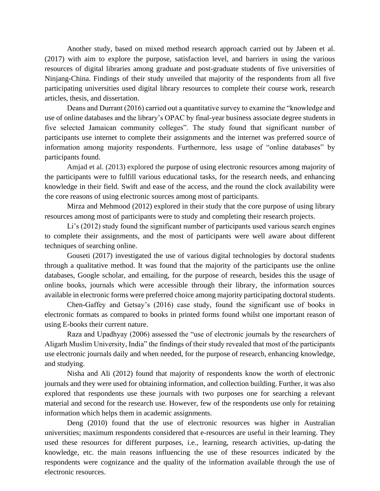Another study, based on mixed method research approach carried out by Jabeen et al. (2017) with aim to explore the purpose, satisfaction level, and barriers in using the various resources of digital libraries among graduate and post-graduate students of five universities of Ninjang-China. Findings of their study unveiled that majority of the respondents from all five participating universities used digital library resources to complete their course work, research articles, thesis, and dissertation.

Deans and Durrant (2016) carried out a quantitative survey to examine the "knowledge and use of online databases and the library's OPAC by final-year business associate degree students in five selected Jamaican community colleges". The study found that significant number of participants use internet to complete their assignments and the internet was preferred source of information among majority respondents. Furthermore, less usage of "online databases" by participants found.

Amjad et al. (2013) explored the purpose of using electronic resources among majority of the participants were to fulfill various educational tasks, for the research needs, and enhancing knowledge in their field. Swift and ease of the access, and the round the clock availability were the core reasons of using electronic sources among most of participants.

Mirza and Mehmood (2012) explored in their study that the core purpose of using library resources among most of participants were to study and completing their research projects.

Li's (2012) study found the significant number of participants used various search engines to complete their assignments, and the most of participants were well aware about different techniques of searching online.

Gouseti (2017) investigated the use of various digital technologies by doctoral students through a qualitative method. It was found that the majority of the participants use the online databases, Google scholar, and emailing, for the purpose of research, besides this the usage of online books, journals which were accessible through their library, the information sources available in electronic forms were preferred choice among majority participating doctoral students.

Chen-Gaffey and Getsay's (2016) case study, found the significant use of books in electronic formats as compared to books in printed forms found whilst one important reason of using E-books their current nature.

Raza and Upadhyay (2006) assessed the "use of electronic journals by the researchers of Aligarh Muslim University, India" the findings of their study revealed that most of the participants use electronic journals daily and when needed, for the purpose of research, enhancing knowledge, and studying.

Nisha and Ali (2012) found that majority of respondents know the worth of electronic journals and they were used for obtaining information, and collection building. Further, it was also explored that respondents use these journals with two purposes one for searching a relevant material and second for the research use. However, few of the respondents use only for retaining information which helps them in academic assignments.

Deng (2010) found that the use of electronic resources was higher in Australian universities; maximum respondents considered that e-resources are useful in their learning. They used these resources for different purposes, i.e., learning, research activities, up-dating the knowledge, etc. the main reasons influencing the use of these resources indicated by the respondents were cognizance and the quality of the information available through the use of electronic resources.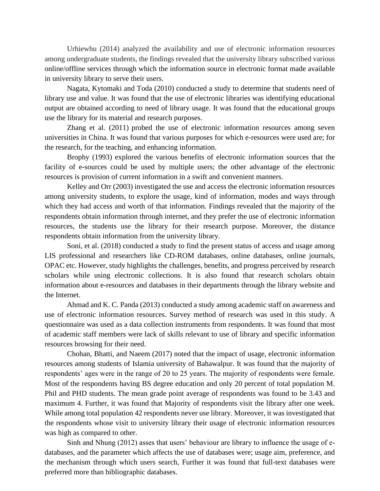Urhiewhu (2014) analyzed the availability and use of electronic information resources among undergraduate students, the findings revealed that the university library subscribed various online/offline services through which the information source in electronic format made available in university library to serve their users.

Nagata, Kytomaki and Toda (2010) conducted a study to determine that students need of library use and value. It was found that the use of electronic libraries was identifying educational output are obtained according to need of library usage. It was found that the educational groups use the library for its material and research purposes.

Zhang et al. (2011) probed the use of electronic information resources among seven universities in China. It was found that various purposes for which e-resources were used are; for the research, for the teaching, and enhancing information.

Brophy (1993) explored the various benefits of electronic information sources that the facility of e-sources could be used by multiple users; the other advantage of the electronic resources is provision of current information in a swift and convenient manners.

Kelley and Orr (2003) investigated the use and access the electronic information resources among university students, to explore the usage, kind of information, modes and ways through which they had access and worth of that information. Findings revealed that the majority of the respondents obtain information through internet, and they prefer the use of electronic information resources, the students use the library for their research purpose. Moreover, the distance respondents obtain information from the university library.

Soni, et al. (2018) conducted a study to find the present status of access and usage among LIS professional and researchers like CD-ROM databases, online databases, online journals, OPAC etc. However, study highlights the challenges, benefits, and progress perceived by research scholars while using electronic collections. It is also found that research scholars obtain information about e-resources and databases in their departments through the library website and the Internet.

Ahmad and K. C. Panda (2013) conducted a study among academic staff on awareness and use of electronic information resources. Survey method of research was used in this study. A questionnaire was used as a data collection instruments from respondents. It was found that most of academic staff members were lack of skills relevant to use of library and specific information resources browsing for their need.

Chohan, Bhatti, and Naeem (2017) noted that the impact of usage, electronic information resources among students of Islamia university of Bahawalpur. It was found that the majority of respondents' ages were in the range of 20 to 25 years. The majority of respondents were female. Most of the respondents having BS degree education and only 20 percent of total population M. Phil and PHD students. The mean grade point average of respondents was found to be 3.43 and maximum 4. Further, it was found that Majority of respondents visit the library after one week. While among total population 42 respondents never use library. Moreover, it was investigated that the respondents whose visit to university library their usage of electronic information resources was high as compared to other.

Sinh and Nhung (2012) asses that users' behaviour are library to influence the usage of edatabases, and the parameter which affects the use of databases were; usage aim, preference, and the mechanism through which users search, Further it was found that full-text databases were preferred more than bibliographic databases.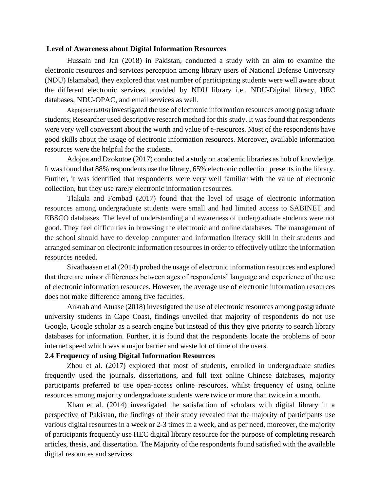#### **Level of Awareness about Digital Information Resources**

Hussain and Jan (2018) in Pakistan, conducted a study with an aim to examine the electronic resources and services perception among library users of National Defense University (NDU) Islamabad, they explored that vast number of participating students were well aware about the different electronic services provided by NDU library i.e., NDU-Digital library, HEC databases, NDU-OPAC, and email services as well.

[Akpojotor \(2016\)](file:///C:/Users/Rab/Desktop/LIterature%20review.docx%23_ENREF_4) [i](file:///C:/Users/Rab/Desktop/LIterature%20review.docx%23_ENREF_4)nvestigated the use of electronic information resources among postgraduate students; Researcher used descriptive research method for this study. It was found that respondents were very well conversant about the worth and value of e-resources. Most of the respondents have good skills about the usage of electronic information resources. Moreover, available information resources were the helpful for the students.

Adojoa and Dzokotoe (2017) conducted a study on academic libraries as hub of knowledge. It was found that 88% respondents use the library, 65% electronic collection presents in the library. Further, it was identified that respondents were very well familiar with the value of electronic collection, but they use rarely electronic information resources.

Tlakula and Fombad (2017) found that the level of usage of electronic information resources among undergraduate students were small and had limited access to SABINET and EBSCO databases. The level of understanding and awareness of undergraduate students were not good. They feel difficulties in browsing the electronic and online databases. The management of the school should have to develop computer and information literacy skill in their students and arranged seminar on electronic information resources in order to effectively utilize the information resources needed.

Sivathaasan et al (2014) probed the usage of electronic information resources and explored that there are minor differences between ages of respondents' language and experience of the use of electronic information resources. However, the average use of electronic information resources does not make difference among five faculties.

Ankrah and Atuase (2018) investigated the use of electronic resources among postgraduate university students in Cape Coast, findings unveiled that majority of respondents do not use Google, Google scholar as a search engine but instead of this they give priority to search library databases for information. Further, it is found that the respondents locate the problems of poor internet speed which was a major barrier and waste lot of time of the users.

#### **2.4 Frequency of using Digital Information Resources**

Zhou et al. (2017) explored that most of students, enrolled in undergraduate studies frequently used the journals, dissertations, and full text online Chinese databases, majority participants preferred to use open-access online resources, whilst frequency of using online resources among majority undergraduate students were twice or more than twice in a month.

Khan et al. (2014) investigated the satisfaction of scholars with digital library in a perspective of Pakistan, the findings of their study revealed that the majority of participants use various digital resources in a week or 2-3 times in a week, and as per need, moreover, the majority of participants frequently use HEC digital library resource for the purpose of completing research articles, thesis, and dissertation. The Majority of the respondents found satisfied with the available digital resources and services.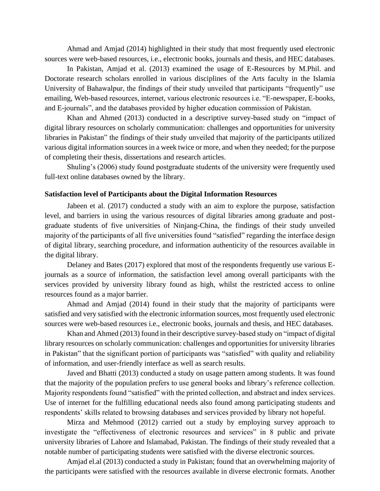Ahmad and Amjad (2014) highlighted in their study that most frequently used electronic sources were web-based resources, i.e., electronic books, journals and thesis, and HEC databases.

In Pakistan, Amjad et al. (2013) examined the usage of E-Resources by M.Phil. and Doctorate research scholars enrolled in various disciplines of the Arts faculty in the Islamia University of Bahawalpur, the findings of their study unveiled that participants "frequently" use emailing, Web-based resources, internet, various electronic resources i.e. "E-newspaper, E-books, and E-journals", and the databases provided by higher education commission of Pakistan.

Khan and Ahmed (2013) conducted in a descriptive survey-based study on "impact of digital library resources on scholarly communication: challenges and opportunities for university libraries in Pakistan" the findings of their study unveiled that majority of the participants utilized various digital information sources in a week twice or more, and when they needed; for the purpose of completing their thesis, dissertations and research articles.

Shuling's (2006) study found postgraduate students of the university were frequently used full-text online databases owned by the library.

#### **Satisfaction level of Participants about the Digital Information Resources**

Jabeen et al. (2017) conducted a study with an aim to explore the purpose, satisfaction level, and barriers in using the various resources of digital libraries among graduate and postgraduate students of five universities of Ninjang-China, the findings of their study unveiled majority of the participants of all five universities found "satisfied" regarding the interface design of digital library, searching procedure, and information authenticity of the resources available in the digital library.

Delaney and Bates (2017) explored that most of the respondents frequently use various Ejournals as a source of information, the satisfaction level among overall participants with the services provided by university library found as high, whilst the restricted access to online resources found as a major barrier.

Ahmad and Amjad (2014) found in their study that the majority of participants were satisfied and very satisfied with the electronic information sources, most frequently used electronic sources were web-based resources i.e., electronic books, journals and thesis, and HEC databases.

Khan and Ahmed (2013) found in their descriptive survey-based study on "impact of digital library resources on scholarly communication: challenges and opportunities for university libraries in Pakistan" that the significant portion of participants was "satisfied" with quality and reliability of information, and user-friendly interface as well as search results.

Javed and Bhatti (2013) conducted a study on usage pattern among students. It was found that the majority of the population prefers to use general books and library's reference collection. Majority respondents found "satisfied" with the printed collection, and abstract and index services. Use of internet for the fulfilling educational needs also found among participating students and respondents' skills related to browsing databases and services provided by library not hopeful.

Mirza and Mehmood (2012) carried out a study by employing survey approach to investigate the "effectiveness of electronic resources and services" in 8 public and private university libraries of Lahore and Islamabad, Pakistan. The findings of their study revealed that a notable number of participating students were satisfied with the diverse electronic sources.

Amjad el.al (2013) conducted a study in Pakistan; found that an overwhelming majority of the participants were satisfied with the resources available in diverse electronic formats. Another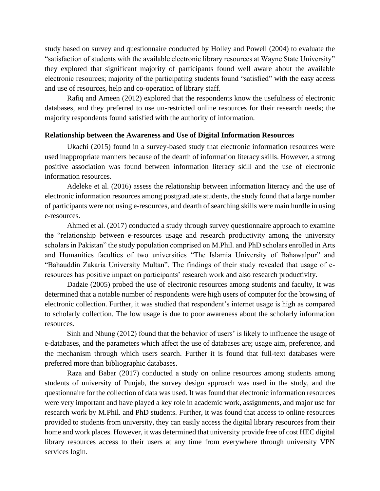study based on survey and questionnaire conducted by Holley and Powell (2004) to evaluate the "satisfaction of students with the available electronic library resources at Wayne State University" they explored that significant majority of participants found well aware about the available electronic resources; majority of the participating students found "satisfied" with the easy access and use of resources, help and co-operation of library staff.

Rafiq and Ameen (2012) explored that the respondents know the usefulness of electronic databases, and they preferred to use un-restricted online resources for their research needs; the majority respondents found satisfied with the authority of information.

#### **Relationship between the Awareness and Use of Digital Information Resources**

Ukachi (2015) found in a survey-based study that electronic information resources were used inappropriate manners because of the dearth of information literacy skills. However, a strong positive association was found between information literacy skill and the use of electronic information resources.

Adeleke et al. (2016) assess the relationship between information literacy and the use of electronic information resources among postgraduate students, the study found that a large number of participants were not using e-resources, and dearth of searching skills were main hurdle in using e-resources.

Ahmed et al. (2017) conducted a study through survey questionnaire approach to examine the "relationship between e-resources usage and research productivity among the university scholars in Pakistan" the study population comprised on M.Phil. and PhD scholars enrolled in Arts and Humanities faculties of two universities "The Islamia University of Bahawalpur" and "Bahauddin Zakaria University Multan". The findings of their study revealed that usage of eresources has positive impact on participants' research work and also research productivity.

Dadzie (2005) probed the use of electronic resources among students and faculty, It was determined that a notable number of respondents were high users of computer for the browsing of electronic collection. Further, it was studied that respondent's internet usage is high as compared to scholarly collection. The low usage is due to poor awareness about the scholarly information resources.

Sinh and Nhung (2012) found that the behavior of users' is likely to influence the usage of e-databases, and the parameters which affect the use of databases are; usage aim, preference, and the mechanism through which users search. Further it is found that full-text databases were preferred more than bibliographic databases.

Raza and Babar (2017) conducted a study on online resources among students among students of university of Punjab, the survey design approach was used in the study, and the questionnaire for the collection of data was used. It was found that electronic information resources were very important and have played a key role in academic work, assignments, and major use for research work by M.Phil. and PhD students. Further, it was found that access to online resources provided to students from university, they can easily access the digital library resources from their home and work places. However, it was determined that university provide free of cost HEC digital library resources access to their users at any time from everywhere through university VPN services login.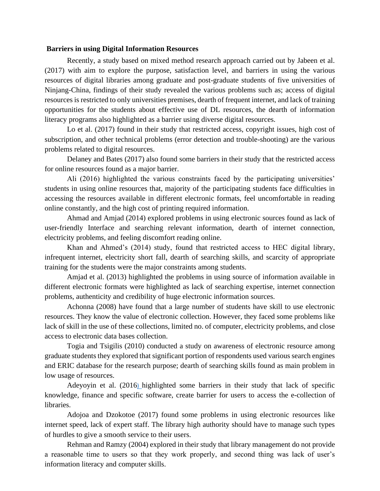#### **Barriers in using Digital Information Resources**

Recently, a study based on mixed method research approach carried out by Jabeen et al. (2017) with aim to explore the purpose, satisfaction level, and barriers in using the various resources of digital libraries among graduate and post-graduate students of five universities of Ninjang-China, findings of their study revealed the various problems such as; access of digital resources is restricted to only universities premises, dearth of frequent internet, and lack of training opportunities for the students about effective use of DL resources, the dearth of information literacy programs also highlighted as a barrier using diverse digital resources.

Lo et al. (2017) found in their study that restricted access, copyright issues, high cost of subscription, and other technical problems (error detection and trouble-shooting) are the various problems related to digital resources.

Delaney and Bates (2017) also found some barriers in their study that the restricted access for online resources found as a major barrier.

Ali (2016) highlighted the various constraints faced by the participating universities' students in using online resources that, majority of the participating students face difficulties in accessing the resources available in different electronic formats, feel uncomfortable in reading online constantly, and the high cost of printing required information.

Ahmad and Amjad (2014) explored problems in using electronic sources found as lack of user-friendly Interface and searching relevant information, dearth of internet connection, electricity problems, and feeling discomfort reading online.

Khan and Ahmed's (2014) study, found that restricted access to HEC digital library, infrequent internet, electricity short fall, dearth of searching skills, and scarcity of appropriate training for the students were the major constraints among students.

Amjad et al. (2013) highlighted the problems in using source of information available in different electronic formats were highlighted as lack of searching expertise, internet connection problems, authenticity and credibility of huge electronic information sources.

Achonna (2008) have found that a large number of students have skill to use electronic resources. They know the value of electronic collection. However, they faced some problems like lack of skill in the use of these collections, limited no. of computer, electricity problems, and close access to electronic data bases collection.

Togia and Tsigilis (2010) conducted a study on awareness of electronic resource among graduate students they explored that significant portion of respondents used various search engines and ERIC database for the research purpose; dearth of searching skills found as main problem in low usage of resources.

[Adeyoyin et al. \(2016](file:///C:/Users/Rab/Desktop/LIterature%20review%20August.docx%23_ENREF_1)[\)](file:///C:/Users/Rab/Desktop/LIterature%20review%20August.docx%23_ENREF_1) highlighted some barriers in their study that lack of specific knowledge, finance and specific software, create barrier for users to access the e-collection of libraries.

Adojoa and Dzokotoe (2017) found some problems in using electronic resources like internet speed, lack of expert staff. The library high authority should have to manage such types of hurdles to give a smooth service to their users.

Rehman and Ramzy (2004) explored in their study that library management do not provide a reasonable time to users so that they work properly, and second thing was lack of user's information literacy and computer skills.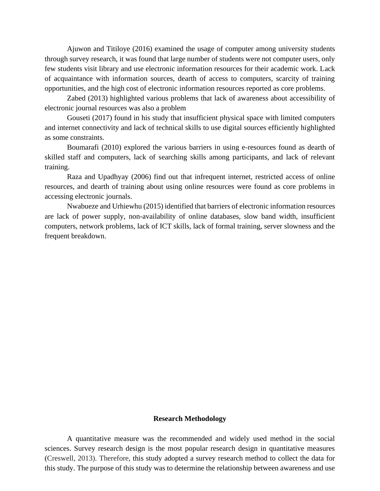Ajuwon and Titiloye (2016) examined the usage of computer among university students through survey research, it was found that large number of students were not computer users, only few students visit library and use electronic information resources for their academic work. Lack of acquaintance with information sources, dearth of access to computers, scarcity of training opportunities, and the high cost of electronic information resources reported as core problems.

Zabed (2013) highlighted various problems that lack of awareness about accessibility of electronic journal resources was also a problem

Gouseti (2017) found in his study that insufficient physical space with limited computers and internet connectivity and lack of technical skills to use digital sources efficiently highlighted as some constraints.

Boumarafi (2010) explored the various barriers in using e-resources found as dearth of skilled staff and computers, lack of searching skills among participants, and lack of relevant training.

Raza and Upadhyay (2006) find out that infrequent internet, restricted access of online resources, and dearth of training about using online resources were found as core problems in accessing electronic journals.

Nwabueze and Urhiewhu (2015) identified that barriers of electronic information resources are lack of power supply, non-availability of online databases, slow band width, insufficient computers, network problems, lack of ICT skills, lack of formal training, server slowness and the frequent breakdown.

#### **Research Methodology**

A quantitative measure was the recommended and widely used method in the social sciences. Survey research design is the most popular research design in quantitative measures (Creswell, 2013). Therefore, this study adopted a survey research method to collect the data for this study. The purpose of this study was to determine the relationship between awareness and use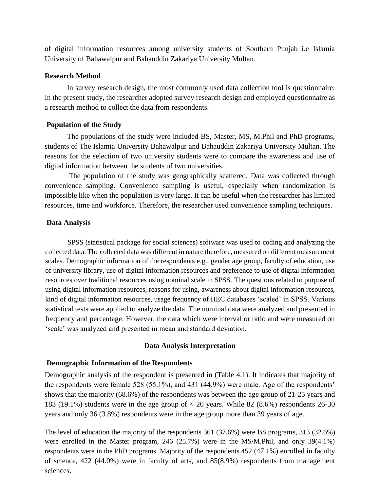of digital information resources among university students of Southern Punjab i.e Islamia University of Bahawalpur and Bahauddin Zakariya University Multan.

#### **Research Method**

In survey research design, the most commonly used data collection tool is questionnaire. In the present study, the researcher adopted survey research design and employed questionnaire as a research method to collect the data from respondents.

## **Population of the Study**

The populations of the study were included BS, Master, MS, M.Phil and PhD programs, students of The Islamia University Bahawalpur and Bahauddin Zakariya University Multan. The reasons for the selection of two university students were to compare the awareness and use of digital information between the students of two universities.

The population of the study was geographically scattered. Data was collected through convenience sampling. Convenience sampling is useful, especially when randomization is impossible like when the population is very large. It can be useful when the researcher has limited resources, time and workforce. Therefore, the researcher used convenience sampling techniques.

## **Data Analysis**

SPSS (statistical package for social sciences) software was used to coding and analyzing the collected data. The collected data was different in nature therefore, measured on different measurement scales. Demographic information of the respondents e.g., gender age group, faculty of education, use of university library, use of digital information resources and preference to use of digital information resources over traditional resources using nominal scale in SPSS. The questions related to purpose of using digital information resources, reasons for using, awareness about digital information resources, kind of digital information resources, usage frequency of HEC databases 'scaled' in SPSS. Various statistical tests were applied to analyze the data. The nominal data were analyzed and presented in frequency and percentage. However, the data which were interval or ratio and were measured on 'scale' was analyzed and presented in mean and standard deviation.

## **Data Analysis Interpretation**

## **Demographic Information of the Respondents**

Demographic analysis of the respondent is presented in (Table 4.1). It indicates that majority of the respondents were female 528 (55.1%), and 431 (44.9%) were male. Age of the respondents' shows that the majority (68.6%) of the respondents was between the age group of 21-25 years and 183 (19.1%) students were in the age group of < 20 years. While 82 (8.6%) respondents 26-30 years and only 36 (3.8%) respondents were in the age group more than 39 years of age.

The level of education the majority of the respondents 361 (37.6%) were BS programs, 313 (32.6%) were enrolled in the Master program, 246 (25.7%) were in the MS/M.Phil, and only 39(4.1%) respondents were in the PhD programs. Majority of the respondents 452 (47.1%) enrolled in faculty of science, 422 (44.0%) were in faculty of arts, and 85(8.9%) respondents from management sciences.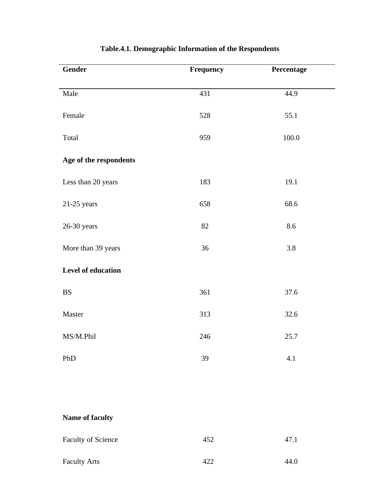| Gender                 | Frequency | Percentage |  |
|------------------------|-----------|------------|--|
|                        |           |            |  |
| Male                   | 431       | 44.9       |  |
|                        |           |            |  |
| Female                 | 528       | 55.1       |  |
| Total                  | 959       | 100.0      |  |
|                        |           |            |  |
| Age of the respondents |           |            |  |
| Less than 20 years     | 183       | 19.1       |  |
|                        |           |            |  |
| $21-25$ years          | 658       | 68.6       |  |
|                        |           |            |  |
| $26-30$ years          | 82        | 8.6        |  |
| More than 39 years     | 36        | 3.8        |  |
|                        |           |            |  |
| Level of education     |           |            |  |
| <b>BS</b>              | 361       | 37.6       |  |
|                        |           |            |  |
| Master                 | 313       | 32.6       |  |
| MS/M.Phil              | 246       | 25.7       |  |
|                        |           |            |  |
| PhD                    | 39        | 4.1        |  |

## **Table.4.1. Demographic Information of the Respondents**

## **Name of faculty**

| <b>Faculty of Science</b> | 452 | 47.1 |
|---------------------------|-----|------|
| <b>Faculty Arts</b>       | 422 | 44.0 |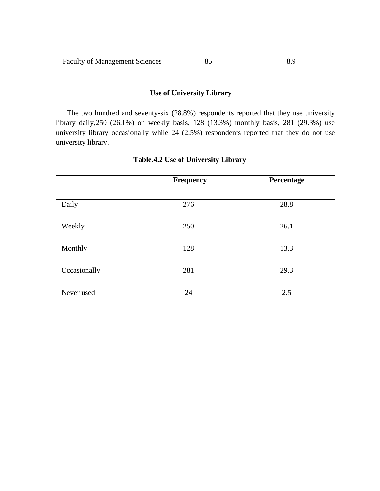## **Use of University Library**

The two hundred and seventy-six (28.8%) respondents reported that they use university library daily,250 (26.1%) on weekly basis, 128 (13.3%) monthly basis, 281 (29.3%) use university library occasionally while 24 (2.5%) respondents reported that they do not use university library.

|              | <b>Frequency</b> | Percentage |
|--------------|------------------|------------|
|              |                  |            |
| Daily        | 276              | 28.8       |
|              |                  |            |
| Weekly       | 250              | 26.1       |
| Monthly      | 128              | 13.3       |
|              |                  |            |
| Occasionally | 281              | 29.3       |
|              |                  |            |
| Never used   | 24               | 2.5        |
|              |                  |            |

## **Table.4.2 Use of University Library**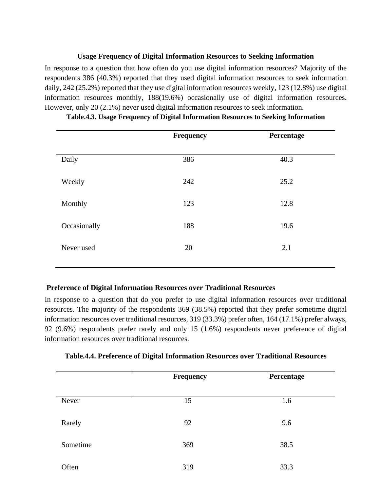## **Usage Frequency of Digital Information Resources to Seeking Information**

In response to a question that how often do you use digital information resources? Majority of the respondents 386 (40.3%) reported that they used digital information resources to seek information daily, 242 (25.2%) reported that they use digital information resources weekly, 123 (12.8%) use digital information resources monthly, 188(19.6%) occasionally use of digital information resources. However, only 20 (2.1%) never used digital information resources to seek information.

|              | Frequency | Percentage |
|--------------|-----------|------------|
| Daily        | 386       | 40.3       |
| Weekly       | 242       | 25.2       |
| Monthly      | 123       | 12.8       |
| Occasionally | 188       | 19.6       |
| Never used   | 20        | 2.1        |
|              |           |            |

|  |  | Table.4.3. Usage Frequency of Digital Information Resources to Seeking Information |  |  |
|--|--|------------------------------------------------------------------------------------|--|--|
|  |  |                                                                                    |  |  |

## **Preference of Digital Information Resources over Traditional Resources**

In response to a question that do you prefer to use digital information resources over traditional resources. The majority of the respondents 369 (38.5%) reported that they prefer sometime digital information resources over traditional resources, 319 (33.3%) prefer often, 164 (17.1%) prefer always, 92 (9.6%) respondents prefer rarely and only 15 (1.6%) respondents never preference of digital information resources over traditional resources.

|          | <b>Frequency</b> | Percentage |
|----------|------------------|------------|
| Never    | 15               | 1.6        |
| Rarely   | 92               | 9.6        |
| Sometime | 369              | 38.5       |
| Often    | 319              | 33.3       |

## **Table.4.4. Preference of Digital Information Resources over Traditional Resources**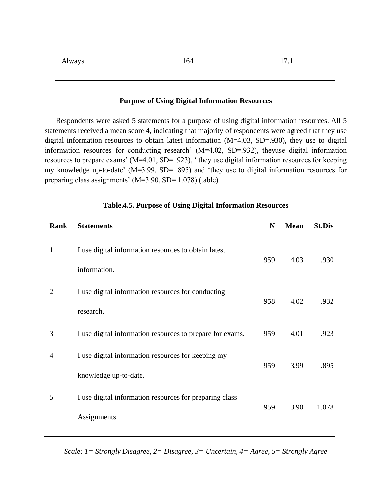#### **Purpose of Using Digital Information Resources**

Respondents were asked 5 statements for a purpose of using digital information resources. All 5 statements received a mean score 4, indicating that majority of respondents were agreed that they use digital information resources to obtain latest information (M=4.03, SD=.930), they use to digital information resources for conducting research' (M=4.02, SD=.932), theyuse digital information resources to prepare exams' (M=4.01, SD= .923), ' they use digital information resources for keeping my knowledge up-to-date' (M=3.99, SD= .895) and 'they use to digital information resources for preparing class assignments' (M=3.90, SD= 1.078) (table)

| Rank           | <b>Statements</b>                                         | $\mathbf N$ | <b>Mean</b> | <b>St.Div</b> |
|----------------|-----------------------------------------------------------|-------------|-------------|---------------|
|                |                                                           |             |             |               |
| 1              | I use digital information resources to obtain latest      |             |             |               |
|                | information.                                              | 959         | 4.03        | .930          |
| $\overline{2}$ | I use digital information resources for conducting        | 958         | 4.02        | .932          |
|                | research.                                                 |             |             |               |
| 3              | I use digital information resources to prepare for exams. | 959         | 4.01        | .923          |
| 4              | I use digital information resources for keeping my        |             |             |               |
|                | knowledge up-to-date.                                     | 959         | 3.99        | .895          |
| 5              | I use digital information resources for preparing class   |             |             |               |
|                | Assignments                                               | 959         | 3.90        | 1.078         |

#### **Table.4.5. Purpose of Using Digital Information Resources**

*Scale: 1= Strongly Disagree, 2= Disagree, 3= Uncertain, 4= Agree, 5= Strongly Agree*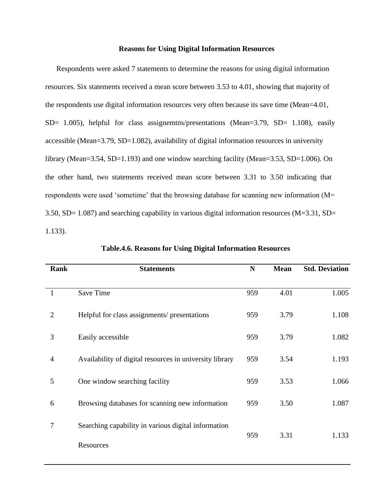#### **Reasons for Using Digital Information Resources**

Respondents were asked 7 statements to determine the reasons for using digital information resources. Six statements received a mean score between 3.53 to 4.01, showing that majority of the respondents use digital information resources very often because its save time (Mean=4.01, SD= 1.005), helpful for class assignemtns/presentations (Mean=3.79, SD= 1.108), easily accessible (Mean=3.79, SD=1.082), availability of digital information resources in university library (Mean=3.54, SD=1.193) and one window searching facility (Mean=3.53, SD=1.006). On the other hand, two statements received mean score between 3.31 to 3.50 indicating that respondents were used 'sometime' that the browsing database for scanning new information (M= 3.50, SD= 1.087) and searching capability in various digital information resources (M=3.31, SD= 1.133).

| Rank           | <b>Statements</b>                                       | N   | <b>Mean</b> | <b>Std. Deviation</b> |
|----------------|---------------------------------------------------------|-----|-------------|-----------------------|
|                |                                                         |     |             |                       |
| $\mathbf{1}$   | Save Time                                               | 959 | 4.01        | 1.005                 |
| $\overline{2}$ | Helpful for class assignments/ presentations            | 959 | 3.79        | 1.108                 |
| 3              | Easily accessible                                       | 959 | 3.79        | 1.082                 |
| $\overline{4}$ | Availability of digital resources in university library | 959 | 3.54        | 1.193                 |
| 5              | One window searching facility                           | 959 | 3.53        | 1.066                 |
| 6              | Browsing databases for scanning new information         | 959 | 3.50        | 1.087                 |
| 7              | Searching capability in various digital information     | 959 | 3.31        | 1.133                 |
|                | Resources                                               |     |             |                       |

**Table.4.6. Reasons for Using Digital Information Resources**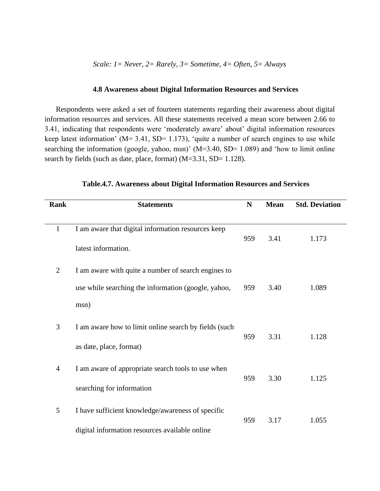#### **4.8 Awareness about Digital Information Resources and Services**

Respondents were asked a set of fourteen statements regarding their awareness about digital information resources and services. All these statements received a mean score between 2.66 to 3.41, indicating that respondents were 'moderately aware' about' digital information resources keep latest information' ( $M = 3.41$ , SD= 1.173), 'quite a number of search engines to use while searching the information (google, yahoo, msn)' ( $M=3.40$ , SD= 1.089) and 'how to limit online search by fields (such as date, place, format) (M=3.31, SD= 1.128).

| Rank           | <b>Statements</b>                                     | N   | <b>Mean</b> | <b>Std. Deviation</b> |
|----------------|-------------------------------------------------------|-----|-------------|-----------------------|
|                |                                                       |     |             |                       |
| $\mathbf{1}$   | I am aware that digital information resources keep    |     |             |                       |
|                | latest information.                                   | 959 | 3.41        | 1.173                 |
| $\overline{2}$ | I am aware with quite a number of search engines to   |     |             |                       |
|                | use while searching the information (google, yahoo,   | 959 | 3.40        | 1.089                 |
|                | msn)                                                  |     |             |                       |
| 3              | I am aware how to limit online search by fields (such |     |             |                       |
|                | as date, place, format)                               | 959 | 3.31        | 1.128                 |
| $\overline{4}$ | I am aware of appropriate search tools to use when    |     |             |                       |
|                | searching for information                             | 959 | 3.30        | 1.125                 |
| 5              | I have sufficient knowledge/awareness of specific     |     |             |                       |
|                | digital information resources available online        | 959 | 3.17        | 1.055                 |

**Table.4.7. Awareness about Digital Information Resources and Services**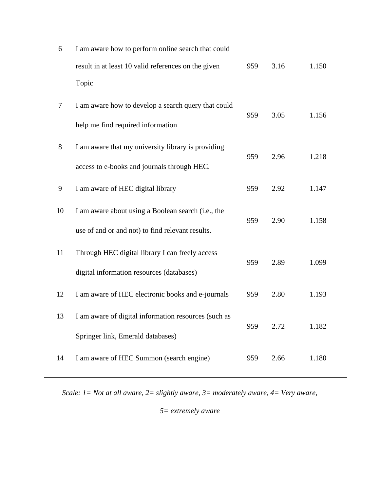| 6  | I am aware how to perform online search that could   |     |      |       |
|----|------------------------------------------------------|-----|------|-------|
|    | result in at least 10 valid references on the given  | 959 | 3.16 | 1.150 |
|    | Topic                                                |     |      |       |
| 7  | I am aware how to develop a search query that could  | 959 | 3.05 | 1.156 |
|    | help me find required information                    |     |      |       |
| 8  | I am aware that my university library is providing   | 959 | 2.96 | 1.218 |
|    | access to e-books and journals through HEC.          |     |      |       |
| 9  | I am aware of HEC digital library                    | 959 | 2.92 | 1.147 |
| 10 | I am aware about using a Boolean search (i.e., the   | 959 | 2.90 | 1.158 |
|    | use of and or and not) to find relevant results.     |     |      |       |
| 11 | Through HEC digital library I can freely access      | 959 | 2.89 | 1.099 |
|    | digital information resources (databases)            |     |      |       |
| 12 | I am aware of HEC electronic books and e-journals    | 959 | 2.80 | 1.193 |
| 13 | I am aware of digital information resources (such as |     | 2.72 |       |
|    | Springer link, Emerald databases)                    | 959 |      | 1.182 |
| 14 | I am aware of HEC Summon (search engine)             | 959 | 2.66 | 1.180 |
|    |                                                      |     |      |       |

*Scale: 1= Not at all aware, 2= slightly aware, 3= moderately aware, 4= Very aware,*

*5= extremely aware*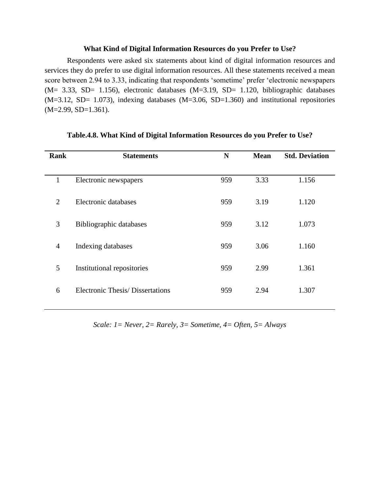#### **What Kind of Digital Information Resources do you Prefer to Use?**

Respondents were asked six statements about kind of digital information resources and services they do prefer to use digital information resources. All these statements received a mean score between 2.94 to 3.33, indicating that respondents 'sometime' prefer 'electronic newspapers (M= 3.33, SD= 1.156), electronic databases (M=3.19, SD= 1.120, bibliographic databases  $(M=3.12, SD= 1.073)$ , indexing databases  $(M=3.06, SD=1.360)$  and institutional repositories (M=2.99, SD=1.361).

| Rank           | <b>Statements</b>                       | N   | <b>Mean</b> | <b>Std. Deviation</b> |
|----------------|-----------------------------------------|-----|-------------|-----------------------|
|                |                                         |     |             |                       |
| 1              | Electronic newspapers                   | 959 | 3.33        | 1.156                 |
| $\overline{2}$ | Electronic databases                    | 959 | 3.19        | 1.120                 |
| 3              | Bibliographic databases                 | 959 | 3.12        | 1.073                 |
| $\overline{4}$ | Indexing databases                      | 959 | 3.06        | 1.160                 |
| 5              | Institutional repositories              | 959 | 2.99        | 1.361                 |
| 6              | <b>Electronic Thesis/ Dissertations</b> | 959 | 2.94        | 1.307                 |

#### **Table.4.8. What Kind of Digital Information Resources do you Prefer to Use?**

*Scale: 1= Never, 2= Rarely, 3= Sometime, 4= Often, 5= Always*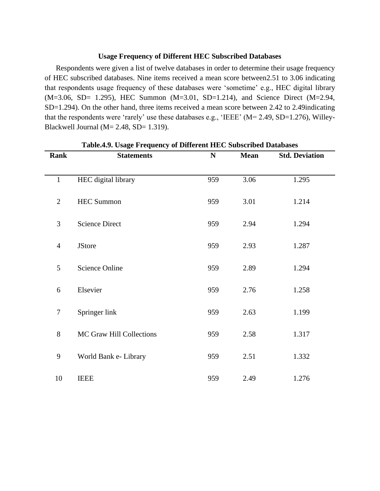#### **Usage Frequency of Different HEC Subscribed Databases**

Respondents were given a list of twelve databases in order to determine their usage frequency of HEC subscribed databases. Nine items received a mean score between2.51 to 3.06 indicating that respondents usage frequency of these databases were 'sometime' e.g., HEC digital library (M=3.06, SD= 1.295), HEC Summon (M=3.01, SD=1.214), and Science Direct (M=2.94, SD=1.294). On the other hand, three items received a mean score between 2.42 to 2.49indicating that the respondents were 'rarely' use these databases e.g., 'IEEE' ( $M = 2.49$ , SD=1.276), Willey-Blackwell Journal ( $M= 2.48$ , SD= 1.319).

| <b>Rank</b>      | <b>Statements</b>        | ${\bf N}$ | <b>Mean</b> | <b>Std. Deviation</b> |  |
|------------------|--------------------------|-----------|-------------|-----------------------|--|
| $\mathbf{1}$     | HEC digital library      | 959       | 3.06        | 1.295                 |  |
|                  |                          |           |             |                       |  |
| $\overline{2}$   | <b>HEC Summon</b>        | 959       | 3.01        | 1.214                 |  |
| 3                | <b>Science Direct</b>    | 959       | 2.94        | 1.294                 |  |
| $\overline{4}$   | <b>JStore</b>            | 959       | 2.93        | 1.287                 |  |
| 5                | <b>Science Online</b>    | 959       | 2.89        | 1.294                 |  |
|                  |                          |           |             |                       |  |
| 6                | Elsevier                 | 959       | 2.76        | 1.258                 |  |
| $\boldsymbol{7}$ | Springer link            | 959       | 2.63        | 1.199                 |  |
| $8\,$            | MC Graw Hill Collections | 959       | 2.58        | 1.317                 |  |
| 9                | World Bank e- Library    | 959       | 2.51        | 1.332                 |  |
|                  |                          |           |             |                       |  |
| 10               | <b>IEEE</b>              | 959       | 2.49        | 1.276                 |  |

**Table.4.9. Usage Frequency of Different HEC Subscribed Databases**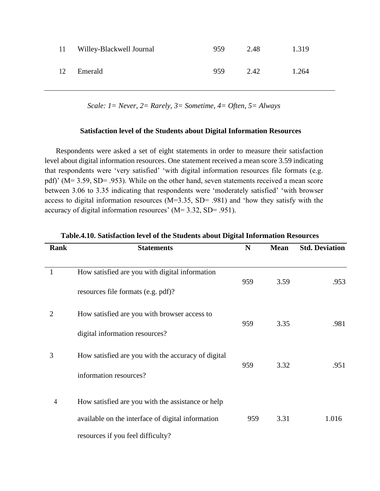| 11 | Willey-Blackwell Journal | 959 | 2.48 | 1.319 |
|----|--------------------------|-----|------|-------|
| 12 | Emerald                  | 959 | 2.42 | 1.264 |

*Scale: 1= Never, 2= Rarely, 3= Sometime, 4= Often, 5= Always*

#### **Satisfaction level of the Students about Digital Information Resources**

Respondents were asked a set of eight statements in order to measure their satisfaction level about digital information resources. One statement received a mean score 3.59 indicating that respondents were 'very satisfied' 'with digital information resources file formats (e.g. pdf)' (M= 3.59, SD= .953). While on the other hand, seven statements received a mean score between 3.06 to 3.35 indicating that respondents were 'moderately satisfied' 'with browser access to digital information resources (M=3.35, SD= .981) and 'how they satisfy with the accuracy of digital information resources' (M= 3.32, SD= .951).

| Rank           | <b>Statements</b>                                                                                                                           | N   | <b>Mean</b> | <b>Std. Deviation</b> |
|----------------|---------------------------------------------------------------------------------------------------------------------------------------------|-----|-------------|-----------------------|
| 1              | How satisfied are you with digital information<br>resources file formats (e.g. pdf)?                                                        | 959 | 3.59        | .953                  |
| 2              | How satisfied are you with browser access to<br>digital information resources?                                                              | 959 | 3.35        | .981                  |
| 3              | How satisfied are you with the accuracy of digital<br>information resources?                                                                | 959 | 3.32        | .951                  |
| $\overline{4}$ | How satisfied are you with the assistance or help<br>available on the interface of digital information<br>resources if you feel difficulty? | 959 | 3.31        | 1.016                 |

| Table.4.10. Satisfaction level of the Students about Digital Information Resources |  |  |
|------------------------------------------------------------------------------------|--|--|
|                                                                                    |  |  |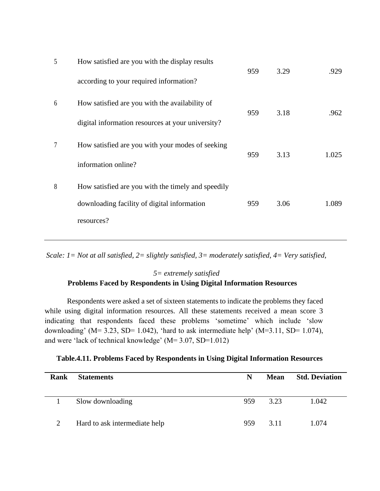| 5 | How satisfied are you with the display results                            | 959 | 3.29 | .929  |
|---|---------------------------------------------------------------------------|-----|------|-------|
|   | according to your required information?                                   |     |      |       |
| 6 | How satisfied are you with the availability of                            | 959 | 3.18 | .962  |
|   | digital information resources at your university?                         |     |      |       |
| 7 | How satisfied are you with your modes of seeking                          | 959 | 3.13 | 1.025 |
| 8 | information online?<br>How satisfied are you with the timely and speedily |     |      |       |
|   | downloading facility of digital information                               | 959 | 3.06 | 1.089 |
|   | resources?                                                                |     |      |       |
|   |                                                                           |     |      |       |

*Scale: 1= Not at all satisfied, 2= slightly satisfied, 3= moderately satisfied, 4= Very satisfied,*

## *5= extremely satisfied* **Problems Faced by Respondents in Using Digital Information Resources**

Respondents were asked a set of sixteen statements to indicate the problems they faced while using digital information resources. All these statements received a mean score 3 indicating that respondents faced these problems 'sometime' which include 'slow downloading' ( $M = 3.23$ , SD= 1.042), 'hard to ask intermediate help' ( $M = 3.11$ , SD= 1.074), and were 'lack of technical knowledge' (M= 3.07, SD=1.012)

| Table.4.11. Problems Faced by Respondents in Using Digital Information Resources |  |  |  |
|----------------------------------------------------------------------------------|--|--|--|
|                                                                                  |  |  |  |

| Rank | <b>Statements</b>             | N   | <b>Mean</b> | <b>Std. Deviation</b> |
|------|-------------------------------|-----|-------------|-----------------------|
|      | Slow downloading              | 959 | 3.23        | 1.042                 |
| 2    | Hard to ask intermediate help | 959 | 3.11        | 1.074                 |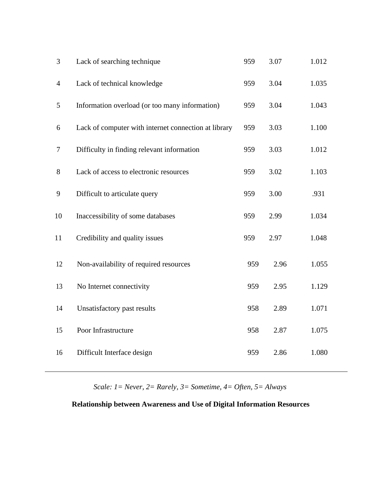| $\mathfrak{Z}$ | Lack of searching technique                          | 959 | 3.07 | 1.012 |
|----------------|------------------------------------------------------|-----|------|-------|
| $\overline{4}$ | Lack of technical knowledge                          | 959 | 3.04 | 1.035 |
| 5              | Information overload (or too many information)       | 959 | 3.04 | 1.043 |
| 6              | Lack of computer with internet connection at library | 959 | 3.03 | 1.100 |
| $\tau$         | Difficulty in finding relevant information           | 959 | 3.03 | 1.012 |
| $8\,$          | Lack of access to electronic resources               | 959 | 3.02 | 1.103 |
| 9              | Difficult to articulate query                        | 959 | 3.00 | .931  |
| 10             | Inaccessibility of some databases                    | 959 | 2.99 | 1.034 |
| 11             | Credibility and quality issues                       | 959 | 2.97 | 1.048 |
| 12             | Non-availability of required resources               | 959 | 2.96 | 1.055 |
| 13             | No Internet connectivity                             | 959 | 2.95 | 1.129 |
| 14             | Unsatisfactory past results                          | 958 | 2.89 | 1.071 |
| 15             | Poor Infrastructure                                  | 958 | 2.87 | 1.075 |
| 16             | Difficult Interface design                           | 959 | 2.86 | 1.080 |

*Scale: 1= Never, 2= Rarely, 3= Sometime, 4= Often, 5= Always*

## **Relationship between Awareness and Use of Digital Information Resources**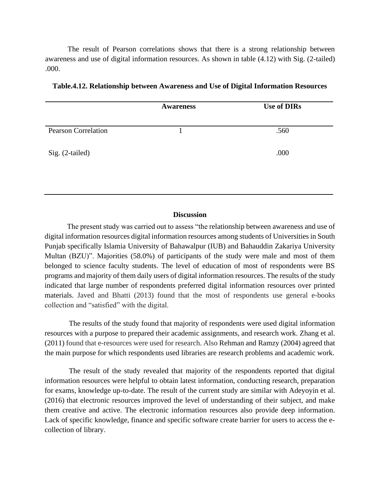The result of Pearson correlations shows that there is a strong relationship between awareness and use of digital information resources. As shown in table (4.12) with Sig. (2-tailed) .000.

|                            | <b>Awareness</b> | <b>Use of DIRs</b> |
|----------------------------|------------------|--------------------|
| <b>Pearson Correlation</b> |                  | .560               |
| Sig. (2-tailed)            |                  | .000               |
|                            |                  |                    |

| Table.4.12. Relationship between Awareness and Use of Digital Information Resources |
|-------------------------------------------------------------------------------------|
|-------------------------------------------------------------------------------------|

#### **Discussion**

The present study was carried out to assess "the relationship between awareness and use of digital information resources digital information resources among students of Universities in South Punjab specifically Islamia University of Bahawalpur (IUB) and Bahauddin Zakariya University Multan (BZU)". Majorities (58.0%) of participants of the study were male and most of them belonged to science faculty students. The level of education of most of respondents were BS programs and majority of them daily users of digital information resources. The results of the study indicated that large number of respondents preferred digital information resources over printed materials. Javed and Bhatti (2013) found that the most of respondents use general e-books collection and "satisfied" with the digital.

The results of the study found that majority of respondents were used digital information resources with a purpose to prepared their academic assignments, and research work. [Zhang et al.](file:///C:/Users/Rab/Desktop/LIterature%20review%20August.docx%23_ENREF_6) [\(2011\) f](file:///C:/Users/Rab/Desktop/LIterature%20review%20August.docx%23_ENREF_6)ound that e-resources were used for research. Also Rehman and Ramzy (2004) agreed that the main purpose for which respondents used libraries are research problems and academic work.

The result of the study revealed that majority of the respondents reported that digital information resources were helpful to obtain latest information, conducting research, preparation for exams, knowledge up-to-date. The result of the current study are similar with Adeyoyin et al. (2016) that electronic resources improved the level of understanding of their subject, and make them creative and active. The electronic information resources also provide deep information. Lack of specific knowledge, finance and specific software create barrier for users to access the ecollection of library.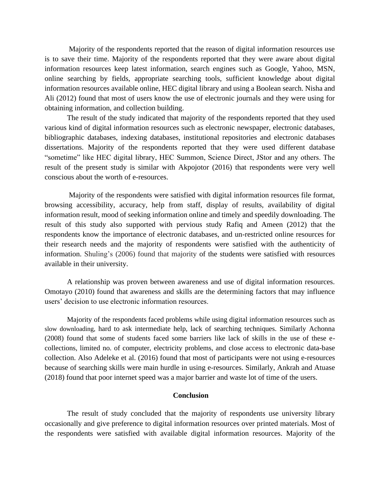Majority of the respondents reported that the reason of digital information resources use is to save their time. Majority of the respondents reported that they were aware about digital information resources keep latest information, search engines such as Google, Yahoo, MSN, online searching by fields, appropriate searching tools, sufficient knowledge about digital information resources available online, HEC digital library and using a Boolean search. Nisha and Ali (2012) found that most of users know the use of electronic journals and they were using for obtaining information, and collection building.

The result of the study indicated that majority of the respondents reported that they used various kind of digital information resources such as electronic newspaper, electronic databases, bibliographic databases, indexing databases, institutional repositories and electronic databases dissertations. Majority of the respondents reported that they were used different database "sometime" like HEC digital library, HEC Summon, Science Direct, JStor and any others. The result of the present study is similar with [Akpojotor \(2016\) t](file:///C:/Users/Rab/Desktop/LIterature%20review.docx%23_ENREF_4)hat respondents were very well conscious about the worth of e-resources.

Majority of the respondents were satisfied with digital information resources file format, browsing accessibility, accuracy, help from staff, display of results, availability of digital information result, mood of seeking information online and timely and speedily downloading. The result of this study also supported with pervious study Rafiq and Ameen (2012) that the respondents know the importance of electronic databases, and un-restricted online resources for their research needs and the majority of respondents were satisfied with the authenticity of information. Shuling's (2006) found that majority of the students were satisfied with resources available in their university.

A relationship was proven between awareness and use of digital information resources. Omotayo (2010) found that awareness and skills are the determining factors that may influence users' decision to use electronic information resources.

Majority of the respondents faced problems while using digital information resources such as slow downloading, hard to ask intermediate help, lack of searching techniques. Similarly Achonna (2008) found that some of students faced some barriers like lack of skills in the use of these ecollections, limited no. of computer, electricity problems, and close access to electronic data-base collection. Also Adeleke et al. (2016) found that most of participants were not using e-resources because of searching skills were main hurdle in using e-resources. Similarly, Ankrah and Atuase (2018) found that poor internet speed was a major barrier and waste lot of time of the users.

#### **Conclusion**

The result of study concluded that the majority of respondents use university library occasionally and give preference to digital information resources over printed materials. Most of the respondents were satisfied with available digital information resources. Majority of the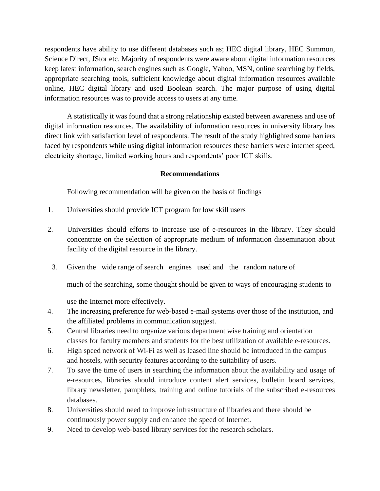respondents have ability to use different databases such as; HEC digital library, HEC Summon, Science Direct, JStor etc. Majority of respondents were aware about digital information resources keep latest information, search engines such as Google, Yahoo, MSN, online searching by fields, appropriate searching tools, sufficient knowledge about digital information resources available online, HEC digital library and used Boolean search. The major purpose of using digital information resources was to provide access to users at any time.

A statistically it was found that a strong relationship existed between awareness and use of digital information resources. The availability of information resources in university library has direct link with satisfaction level of respondents. The result of the study highlighted some barriers faced by respondents while using digital information resources these barriers were internet speed, electricity shortage, limited working hours and respondents' poor ICT skills.

## **Recommendations**

Following recommendation will be given on the basis of findings

- 1. Universities should provide ICT program for low skill users
- 2. Universities should efforts to increase use of e-resources in the library. They should concentrate on the selection of appropriate medium of information dissemination about facility of the digital resource in the library.
	- 3. Given the wide range of search engines used and the random nature of

much of the searching, some thought should be given to ways of encouraging students to

use the Internet more effectively.

- 4. The increasing preference for web-based e-mail systems over those of the institution, and the affiliated problems in communication suggest.
- 5. Central libraries need to organize various department wise training and orientation classes for faculty members and students for the best utilization of available e-resources.
- 6. High speed network of Wi-Fi as well as leased line should be introduced in the campus and hostels, with security features according to the suitability of users.
- 7. To save the time of users in searching the information about the availability and usage of e-resources, libraries should introduce content alert services, bulletin board services, library newsletter, pamphlets, training and online tutorials of the subscribed e-resources databases.
- 8. Universities should need to improve infrastructure of libraries and there should be continuously power supply and enhance the speed of Internet.
- 9. Need to develop web-based library services for the research scholars.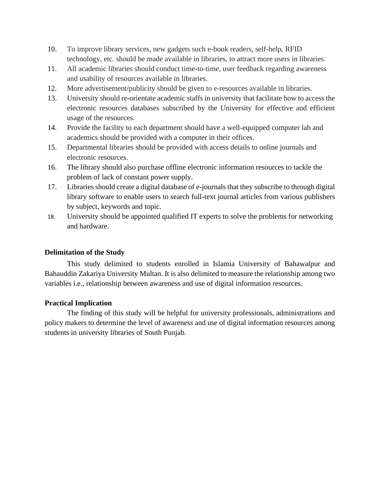- 10. To improve library services, new gadgets such e-book readers, self-help, RFID technology, etc. should be made available in libraries, to attract more users in libraries.
- 11. All academic libraries should conduct time-to-time, user feedback regarding awareness and usability of resources available in libraries.
- 12. More advertisement/publicity should be given to e-resources available in libraries.
- 13. University should re-orientate academic staffs in university that facilitate how to access the electronic resources databases subscribed by the University for effective and efficient usage of the resources.
- 14. Provide the facility to each department should have a well-equipped computer lab and academics should be provided with a computer in their offices.
- 15. Departmental libraries should be provided with access details to online journals and electronic resources.
- 16. The library should also purchase offline electronic information resources to tackle the problem of lack of constant power supply.
- 17. Libraries should create a digital database of e-journals that they subscribe to through digital library software to enable users to search full-text journal articles from various publishers by subject, keywords and topic.
- 18. University should be appointed qualified IT experts to solve the problems for networking and hardware.

## **Delimitation of the Study**

This study delimited to students enrolled in Islamia University of Bahawalpur and Bahauddin Zakariya University Multan. It is also delimited to measure the relationship among two variables i.e., relationship between awareness and use of digital information resources.

## **Practical Implication**

The finding of this study will be helpful for university professionals, administrations and policy makers to determine the level of awareness and use of digital information resources among students in university libraries of South Punjab.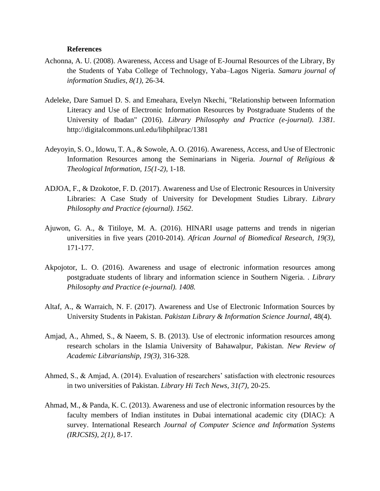#### **References**

- Achonna, A. U. (2008). Awareness, Access and Usage of E-Journal Resources of the Library, By the Students of Yaba College of Technology, Yaba–Lagos Nigeria. *Samaru journal of information Studies, 8(1),* 26-34.
- Adeleke, Dare Samuel D. S. and Emeahara, Evelyn Nkechi, "Relationship between Information Literacy and Use of Electronic Information Resources by Postgraduate Students of the University of Ibadan" (2016). *Library Philosophy and Practice (e-journal). 1381.* http://digitalcommons.unl.edu/libphilprac/1381
- Adeyoyin, S. O., Idowu, T. A., & Sowole, A. O. (2016). Awareness, Access, and Use of Electronic Information Resources among the Seminarians in Nigeria. *Journal of Religious & Theological Information, 15(1-2),* 1-18.
- ADJOA, F., & Dzokotoe, F. D. (2017). Awareness and Use of Electronic Resources in University Libraries: A Case Study of University for Development Studies Library. *Library Philosophy and Practice (ejournal). 1562*.
- Ajuwon, G. A., & Titiloye, M. A. (2016). HINARI usage patterns and trends in nigerian universities in five years (2010-2014). *African Journal of Biomedical Research, 19(3),* 171-177.
- Akpojotor, L. O. (2016). Awareness and usage of electronic information resources among postgraduate students of library and information science in Southern Nigeria. *. Library Philosophy and Practice (e-journal). 1408.*
- Altaf, A., & Warraich, N. F. (2017). Awareness and Use of Electronic Information Sources by University Students in Pakistan. *Pakistan Library & Information Science Journal,* 48(4).
- Amjad, A., Ahmed, S., & Naeem, S. B. (2013). Use of electronic information resources among research scholars in the Islamia University of Bahawalpur, Pakistan. *New Review of Academic Librarianship, 19(3),* 316-328.
- Ahmed, S., & Amjad, A. (2014). Evaluation of researchers' satisfaction with electronic resources in two universities of Pakistan. *Library Hi Tech News, 31(7),* 20-25.
- Ahmad, M., & Panda, K. C. (2013). Awareness and use of electronic information resources by the faculty members of Indian institutes in Dubai international academic city (DIAC): A survey. International Research *Journal of Computer Science and Information Systems (IRJCSIS), 2(1),* 8-17.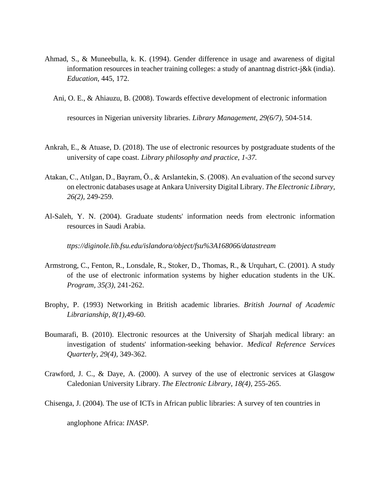- Ahmad, S., & Muneebulla, k. K. (1994). Gender difference in usage and awareness of digital information resources in teacher training colleges: a study of anantnag district-j&k (india). *Education,* 445, 172.
	- Ani, O. E., & Ahiauzu, B. (2008). Towards effective development of electronic information

resources in Nigerian university libraries. *Library Management, 29(6/7),* 504-514.

- Ankrah, E., & Atuase, D. (2018). The use of electronic resources by postgraduate students of the university of cape coast. *Library philosophy and practice, 1-37.*
- Atakan, C., Atılgan, D., Bayram, Ö., & Arslantekin, S. (2008). An evaluation of the second survey on electronic databases usage at Ankara University Digital Library. *The Electronic Library, 26(2),* 249-259.
- Al-Saleh, Y. N. (2004). Graduate students' information needs from electronic information resources in Saudi Arabia.

*ttps://diginole.lib.fsu.edu/islandora/object/fsu%3A168066/datastream*

- Armstrong, C., Fenton, R., Lonsdale, R., Stoker, D., Thomas, R., & Urquhart, C. (2001). A study of the use of electronic information systems by higher education students in the UK. *Program, 35(3),* 241-262.
- Brophy, P. (1993) Networking in British academic libraries. *British Journal of Academic Librarianship, 8(1),*49-60.
- Boumarafi, B. (2010). Electronic resources at the University of Sharjah medical library: an investigation of students' information-seeking behavior. *Medical Reference Services Quarterly, 29(4),* 349-362.
- Crawford, J. C., & Daye, A. (2000). A survey of the use of electronic services at Glasgow Caledonian University Library. *The Electronic Library, 18(4),* 255-265.

Chisenga, J. (2004). The use of ICTs in African public libraries: A survey of ten countries in

anglophone Africa: *INASP.*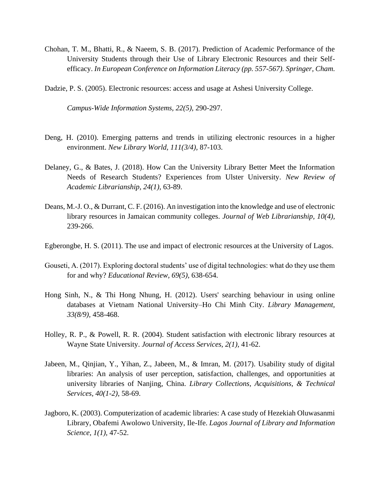Chohan, T. M., Bhatti, R., & Naeem, S. B. (2017). Prediction of Academic Performance of the University Students through their Use of Library Electronic Resources and their Selfefficacy. *In European Conference on Information Literacy (pp. 557-567). Springer, Cham.*

Dadzie, P. S. (2005). Electronic resources: access and usage at Ashesi University College.

*Campus-Wide Information Systems, 22(5),* 290-297.

- Deng, H. (2010). Emerging patterns and trends in utilizing electronic resources in a higher environment. *New Library World, 111(3/4),* 87-103.
- Delaney, G., & Bates, J. (2018). How Can the University Library Better Meet the Information Needs of Research Students? Experiences from Ulster University. *New Review of Academic Librarianship, 24(1),* 63-89.
- Deans, M.-J. O., & Durrant, C. F. (2016). An investigation into the knowledge and use of electronic library resources in Jamaican community colleges. *Journal of Web Librarianship, 10(4),* 239-266.
- Egberongbe, H. S. (2011). The use and impact of electronic resources at the University of Lagos.
- Gouseti, A. (2017). Exploring doctoral students' use of digital technologies: what do they use them for and why? *Educational Review, 69(5),* 638-654.
- Hong Sinh, N., & Thi Hong Nhung, H. (2012). Users' searching behaviour in using online databases at Vietnam National University–Ho Chi Minh City. *Library Management, 33(8/9),* 458-468.
- Holley, R. P., & Powell, R. R. (2004). Student satisfaction with electronic library resources at Wayne State University. *Journal of Access Services, 2(1),* 41-62.
- Jabeen, M., Qinjian, Y., Yihan, Z., Jabeen, M., & Imran, M. (2017). Usability study of digital libraries: An analysis of user perception, satisfaction, challenges, and opportunities at university libraries of Nanjing, China. *Library Collections, Acquisitions, & Technical Services, 40(1-2),* 58-69.
- Jagboro, K. (2003). Computerization of academic libraries: A case study of Hezekiah Oluwasanmi Library, Obafemi Awolowo University, Ile-Ife. *Lagos Journal of Library and Information Science, 1(1),* 47-52.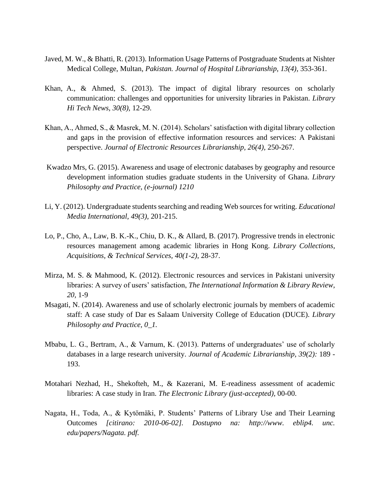- Javed, M. W., & Bhatti, R. (2013). Information Usage Patterns of Postgraduate Students at Nishter Medical College, Multan, *Pakistan. Journal of Hospital Librarianship, 13(4),* 353-361.
- Khan, A., & Ahmed, S. (2013). The impact of digital library resources on scholarly communication: challenges and opportunities for university libraries in Pakistan*. Library Hi Tech News, 30(8),* 12-29.
- Khan, A., Ahmed, S., & Masrek, M. N. (2014). Scholars' satisfaction with digital library collection and gaps in the provision of effective information resources and services: A Pakistani perspective. *Journal of Electronic Resources Librarianship, 26(4),* 250-267.
- Kwadzo Mrs, G. (2015). Awareness and usage of electronic databases by geography and resource development information studies graduate students in the University of Ghana. *Library Philosophy and Practice, (e-journal) 1210*
- Li, Y. (2012). Undergraduate students searching and reading Web sources for writing. *Educational Media International, 49(3),* 201-215.
- Lo, P., Cho, A., Law, B. K.-K., Chiu, D. K., & Allard, B. (2017). Progressive trends in electronic resources management among academic libraries in Hong Kong. *Library Collections, Acquisitions, & Technical Services, 40(1-2),* 28-37.
- Mirza, M. S. & Mahmood, K. (2012). Electronic resources and services in Pakistani university libraries: A survey of users' satisfaction, *The International Information & Library Review, 20,* 1-9
- Msagati, N. (2014). Awareness and use of scholarly electronic journals by members of academic staff: A case study of Dar es Salaam University College of Education (DUCE). *Library Philosophy and Practice, 0\_1.*
- Mbabu, L. G., Bertram, A., & Varnum, K. (2013). Patterns of undergraduates' use of scholarly databases in a large research university. *Journal of Academic Librarianship, 39(2):* 189 - 193.
- Motahari Nezhad, H., Shekofteh, M., & Kazerani, M. E-readiness assessment of academic libraries: A case study in Iran. *The Electronic Library (just-accepted),* 00-00.
- Nagata, H., Toda, A., & Kytömäki, P. Students' Patterns of Library Use and Their Learning Outcomes *[citirano: 2010-06-02]. Dostupno na: http://www. eblip4. unc. edu/papers/Nagata. pdf.*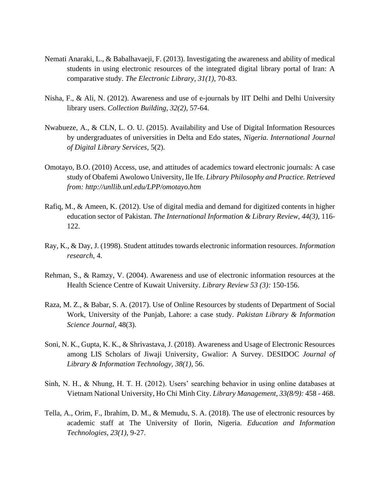- Nemati Anaraki, L., & Babalhavaeji, F. (2013). Investigating the awareness and ability of medical students in using electronic resources of the integrated digital library portal of Iran: A comparative study. *The Electronic Library, 31(1),* 70-83.
- Nisha, F., & Ali, N. (2012). Awareness and use of e-journals by IIT Delhi and Delhi University library users. *Collection Building, 32(2),* 57-64.
- Nwabueze, A., & CLN, L. O. U. (2015). Availability and Use of Digital Information Resources by undergraduates of universities in Delta and Edo states, *Nigeria. International Journal of Digital Library Services,* 5(2).
- Omotayo, B.O. (2010) Access, use, and attitudes of academics toward electronic journals: A case study of Obafemi Awolowo University, Ile Ife. *Library Philosophy and Practice. Retrieved from: http://unllib.unl.edu/LPP/omotayo.htm*
- Rafiq, M., & Ameen, K. (2012). Use of digital media and demand for digitized contents in higher education sector of Pakistan. *The International Information & Library Review, 44(3),* 116- 122.
- Ray, K., & Day, J. (1998). Student attitudes towards electronic information resources. *Information research,* 4.
- Rehman, S., & Ramzy, V. (2004). Awareness and use of electronic information resources at the Health Science Centre of Kuwait University. *Library Review 53 (3):* 150-156.
- Raza, M. Z., & Babar, S. A. (2017). Use of Online Resources by students of Department of Social Work, University of the Punjab, Lahore: a case study. *Pakistan Library & Information Science Journal,* 48(3).
- Soni, N. K., Gupta, K. K., & Shrivastava, J. (2018). Awareness and Usage of Electronic Resources among LIS Scholars of Jiwaji University, Gwalior: A Survey. DESIDOC *Journal of Library & Information Technology, 38(1),* 56.
- Sinh, N. H., & Nhung, H. T. H. (2012). Users' searching behavior in using online databases at Vietnam National University, Ho Chi Minh City. *Library Management, 33(8/9):* 458 - 468.
- Tella, A., Orim, F., Ibrahim, D. M., & Memudu, S. A. (2018). The use of electronic resources by academic staff at The University of Ilorin, Nigeria. *Education and Information Technologies, 23(1),* 9-27.